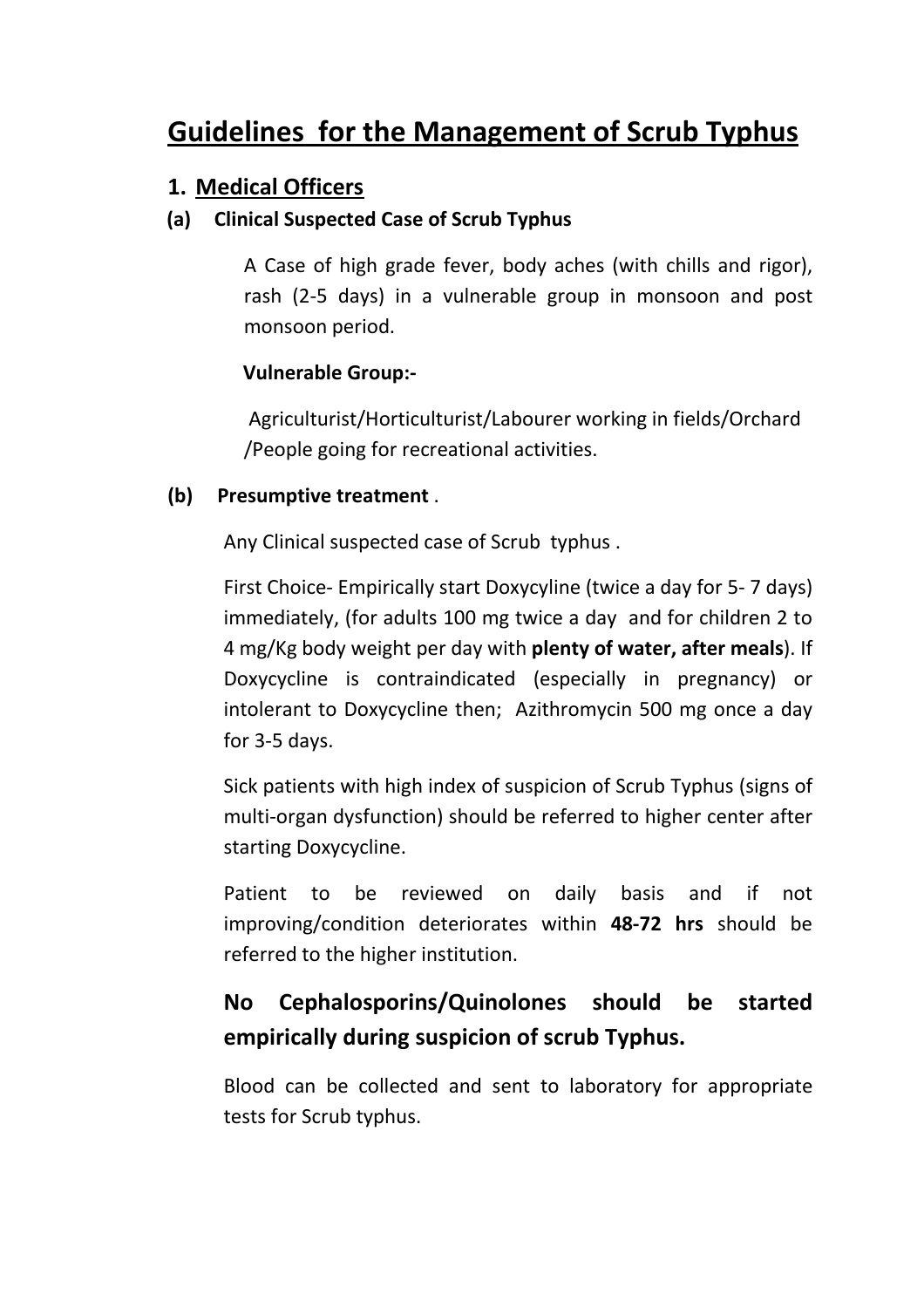# Guidelines for the Management of Scrub Typhus

### 1. Medical Officers

### (a) Clinical Suspected Case of Scrub Typhus

A Case of high grade fever, body aches (with chills and rigor), rash (2-5 days) in a vulnerable group in monsoon and post monsoon period.

### Vulnerable Group:-

 Agriculturist/Horticulturist/Labourer working in fields/Orchard /People going for recreational activities.

#### (b) Presumptive treatment .

Any Clinical suspected case of Scrub typhus .

First Choice- Empirically start Doxycyline (twice a day for 5- 7 days) immediately, (for adults 100 mg twice a day and for children 2 to 4 mg/Kg body weight per day with plenty of water, after meals). If Doxycycline is contraindicated (especially in pregnancy) or intolerant to Doxycycline then; Azithromycin 500 mg once a day for 3-5 days.

Sick patients with high index of suspicion of Scrub Typhus (signs of multi-organ dysfunction) should be referred to higher center after starting Doxycycline.

Patient to be reviewed on daily basis and if not improving/condition deteriorates within 48-72 hrs should be referred to the higher institution.

# No Cephalosporins/Quinolones should be started empirically during suspicion of scrub Typhus.

Blood can be collected and sent to laboratory for appropriate tests for Scrub typhus.